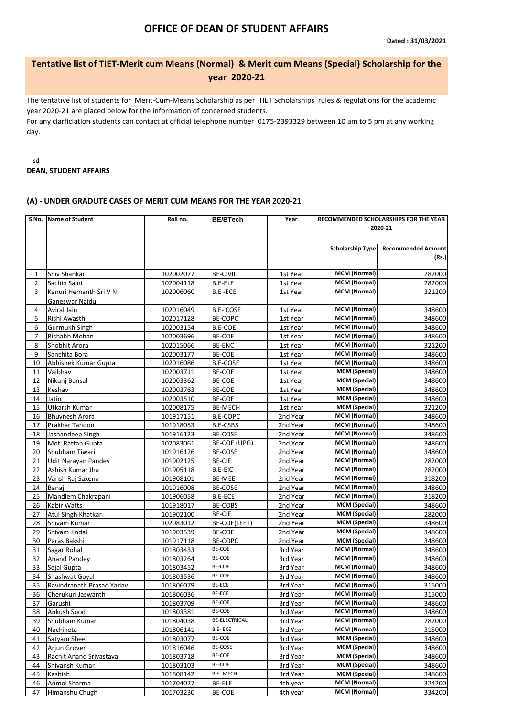## **OFFICE OF DEAN OF STUDENT AFFAIRS**

## **Tentative list of TIET-Merit cum Means (Normal) & Merit cum Means (Special) Scholarship for the year 2020-21**

The tentative list of students for Merit-Cum-Means Scholarship as per TIET Scholarships rules & regulations for the academic year 2020-21 are placed below for the information of concerned students.

For any clarficiation students can contact at official telephone number 0175-2393329 between 10 am to 5 pm at any working day.

-sd-**DEAN, STUDENT AFFAIRS**

## **(A) - UNDER GRADUTE CASES OF MERIT CUM MEANS FOR THE YEAR 2020-21**

| 2020-21<br><b>Recommended Amount</b><br><b>Scholarship Type</b><br>(Rs.)<br><b>MCM (Normal)</b><br>282000<br>Shiv Shankar<br>102002077<br><b>BE-CIVIL</b><br>1st Year<br>1<br><b>MCM (Normal)</b><br><b>B.E-ELE</b><br>2<br>Sachin Saini<br>102004118<br>1st Year<br><b>MCM (Normal)</b><br>Kanuri Hemanth Sri V N<br>3<br>102006060<br><b>B.E-ECE</b><br>1st Year<br>Ganeswar Naidu<br><b>MCM (Normal)</b><br><b>B.E-COSE</b><br>348600<br>4<br>Aviral Jain<br>102016049<br>1st Year<br>5<br><b>MCM (Normal)</b><br>Rishi Awasthi<br>102017128<br>BE-COPC<br>1st Year<br>6<br><b>MCM (Normal)</b><br>Gurmukh Singh<br><b>B.E-COE</b><br>102003154<br>1st Year<br><b>MCM (Normal)</b><br>7<br>Rishabh Mohan<br>102003696<br><b>BE-COE</b><br>1st Year<br><b>MCM (Normal)</b><br>8<br><b>BE-ENC</b><br>Shobhit Arora<br>102015066<br>1st Year<br><b>MCM (Normal)</b><br>9<br>Sanchita Bora<br>BE-COE<br>102003177<br>1st Year<br><b>MCM (Normal)</b><br>10<br>Abhishek Kumar Gupta<br>102016086<br><b>B.E-COSE</b><br>1st Year<br><b>MCM</b> (Special)<br>Vaibhav<br>11<br>102003711<br>BE-COE<br>1st Year<br><b>MCM</b> (Special)<br>12<br>Nikunj Bansal<br>102003362<br><b>BE-COE</b><br>1st Year<br><b>MCM</b> (Special)<br>13<br>BE-COE<br>Keshav<br>102003763<br>1st Year<br><b>MCM</b> (Special)<br>14<br>BE-COE<br>Jatin<br>102003510<br>1st Year<br><b>MCM</b> (Special)<br>15<br><b>BE-MECH</b><br>Utkarsh Kumar<br>102008175<br>1st Year<br><b>MCM (Normal)</b><br><b>B.E-COPC</b><br>16<br>101917151<br><b>Bhuvnesh Arora</b><br>2nd Year<br><b>MCM (Normal)</b><br>17<br>Prakhar Tandon<br>B.E-CSBS<br>101918053<br>2nd Year<br><b>MCM (Normal)</b><br>348600<br>18<br>Jashandeep Singh<br>101916123<br>BE-COSE<br>2nd Year<br><b>MCM (Normal)</b><br>19<br>BE-COE (UPG)<br>Moti Rattan Gupta<br>102083061<br>2nd Year<br><b>MCM (Normal)</b><br>20<br>Shubham Tiwari<br><b>BE-COSE</b><br>101916126<br>2nd Year<br><b>MCM (Normal)</b><br>21<br><b>BE-CIE</b><br><b>Udit Narayan Pandey</b><br>101902125<br>2nd Year<br><b>MCM (Normal)</b><br>Ashish Kumar Jha<br><b>B.E-EIC</b><br>22<br>101905118<br>2nd Year<br><b>MCM (Normal)</b><br><b>BE-MEE</b><br>23<br>Vansh Raj Saxena<br>101908101<br>2nd Year<br><b>MCM (Normal)</b><br>24<br><b>BE-COSE</b><br>Banaj<br>101916008<br>2nd Year<br><b>MCM (Normal)</b><br>25<br>Mandlem Chakrapani<br>101906058<br><b>B.E-ECE</b><br>2nd Year<br><b>MCM (Special)</b><br>26<br>Kabir Watts<br>101918017<br><b>BE-COBS</b><br>2nd Year<br><b>MCM</b> (Special)<br>27<br><b>BE-CIE</b><br>Atul Singh Khatkar<br>101902100<br>2nd Year<br><b>MCM (Special)</b><br>28<br>BE-COE(LEET)<br>Shivam Kumar<br>102083012<br>2nd Year<br><b>MCM (Special)</b><br>BE-COE<br>29<br>Shivam Jindal<br>101903539<br>2nd Year<br>348600<br><b>MCM (Special)</b><br><b>BE-COPC</b><br>Paras Bakshi<br>30<br>101917118<br>2nd Year<br>BE-COE<br><b>MCM</b> (Normal)<br>31<br>Sagar Rohal<br>101803433<br>3rd Year<br>348600<br>BE-COE<br><b>MCM (Normal)</b><br>32<br><b>Anand Pandey</b><br>101803264<br>3rd Year<br>BE-COE<br><b>MCM (Normal)</b><br>33<br>Sejal Gupta<br>3rd Year<br>101803452<br>BE-COE<br><b>MCM (Normal)</b><br>34<br>Shashwat Goyal<br>101803536<br>3rd Year<br><b>BE-ECE</b><br><b>MCM (Normal)</b><br>35<br>Ravindranath Prasad Yadav<br>101806079<br>3rd Year<br><b>BE-ECE</b><br>MCM (Normal)<br>36<br>Cherukuri Jaswanth<br>101806036<br>3rd Year<br>BE-COE<br><b>MCM</b> (Normal)<br>Garushi<br>101803709<br>37<br>3rd Year<br>BE-COE<br><b>MCM (Normal)</b><br>38<br>Ankush Sood<br>101803381<br>3rd Year<br><b>BE-ELECTRICAL</b><br><b>MCM (Normal)</b><br>39<br>Shubham Kumar<br>101804038<br>3rd Year<br><b>MCM (Normal)</b><br>B.E-ECE<br>40<br>Nachiketa<br>101806141<br>3rd Year<br>BE-COE<br><b>MCM (Special)</b><br>Satyam Sheel<br>41<br>101803077<br>3rd Year<br><b>BE-COSE</b><br><b>MCM</b> (Special)<br>Arjun Grover<br>101816046<br>3rd Year<br>42<br>BE-COE<br><b>MCM (Special)</b><br>Rachit Anand Srivastava<br>101803718<br>3rd Year<br>348600<br>43<br>BE-COE<br><b>MCM (Special)</b><br>44<br>Shivansh Kumar<br>101803103<br>3rd Year<br>B.E- MECH<br><b>MCM (Special)</b><br>45<br>Kashish<br>101808142<br>3rd Year<br><b>MCM (Normal)</b><br>Anmol Sharma<br><b>BE-ELE</b><br>46<br>101704027<br>4th year |    | S No. Name of Student | Roll no.  | <b>BE/BTech</b> | Year     | RECOMMENDED SCHOLARSHIPS FOR THE YEAR |        |
|-----------------------------------------------------------------------------------------------------------------------------------------------------------------------------------------------------------------------------------------------------------------------------------------------------------------------------------------------------------------------------------------------------------------------------------------------------------------------------------------------------------------------------------------------------------------------------------------------------------------------------------------------------------------------------------------------------------------------------------------------------------------------------------------------------------------------------------------------------------------------------------------------------------------------------------------------------------------------------------------------------------------------------------------------------------------------------------------------------------------------------------------------------------------------------------------------------------------------------------------------------------------------------------------------------------------------------------------------------------------------------------------------------------------------------------------------------------------------------------------------------------------------------------------------------------------------------------------------------------------------------------------------------------------------------------------------------------------------------------------------------------------------------------------------------------------------------------------------------------------------------------------------------------------------------------------------------------------------------------------------------------------------------------------------------------------------------------------------------------------------------------------------------------------------------------------------------------------------------------------------------------------------------------------------------------------------------------------------------------------------------------------------------------------------------------------------------------------------------------------------------------------------------------------------------------------------------------------------------------------------------------------------------------------------------------------------------------------------------------------------------------------------------------------------------------------------------------------------------------------------------------------------------------------------------------------------------------------------------------------------------------------------------------------------------------------------------------------------------------------------------------------------------------------------------------------------------------------------------------------------------------------------------------------------------------------------------------------------------------------------------------------------------------------------------------------------------------------------------------------------------------------------------------------------------------------------------------------------------------------------------------------------------------------------------------------------------------------------------------------------------------------------------------------------------------------------------------------------------------------------------------------------------------------------------------------------------------------------------------------------------------------------------------------------------------------------------------------------------------------------------------------------------------------------------------------------------------------------------------------------------------------------------------------------------|----|-----------------------|-----------|-----------------|----------|---------------------------------------|--------|
|                                                                                                                                                                                                                                                                                                                                                                                                                                                                                                                                                                                                                                                                                                                                                                                                                                                                                                                                                                                                                                                                                                                                                                                                                                                                                                                                                                                                                                                                                                                                                                                                                                                                                                                                                                                                                                                                                                                                                                                                                                                                                                                                                                                                                                                                                                                                                                                                                                                                                                                                                                                                                                                                                                                                                                                                                                                                                                                                                                                                                                                                                                                                                                                                                                                                                                                                                                                                                                                                                                                                                                                                                                                                                                                                                                                                                                                                                                                                                                                                                                                                                                                                                                                                                                                                                                     |    |                       |           |                 |          |                                       |        |
|                                                                                                                                                                                                                                                                                                                                                                                                                                                                                                                                                                                                                                                                                                                                                                                                                                                                                                                                                                                                                                                                                                                                                                                                                                                                                                                                                                                                                                                                                                                                                                                                                                                                                                                                                                                                                                                                                                                                                                                                                                                                                                                                                                                                                                                                                                                                                                                                                                                                                                                                                                                                                                                                                                                                                                                                                                                                                                                                                                                                                                                                                                                                                                                                                                                                                                                                                                                                                                                                                                                                                                                                                                                                                                                                                                                                                                                                                                                                                                                                                                                                                                                                                                                                                                                                                                     |    |                       |           |                 |          |                                       |        |
|                                                                                                                                                                                                                                                                                                                                                                                                                                                                                                                                                                                                                                                                                                                                                                                                                                                                                                                                                                                                                                                                                                                                                                                                                                                                                                                                                                                                                                                                                                                                                                                                                                                                                                                                                                                                                                                                                                                                                                                                                                                                                                                                                                                                                                                                                                                                                                                                                                                                                                                                                                                                                                                                                                                                                                                                                                                                                                                                                                                                                                                                                                                                                                                                                                                                                                                                                                                                                                                                                                                                                                                                                                                                                                                                                                                                                                                                                                                                                                                                                                                                                                                                                                                                                                                                                                     |    |                       |           |                 |          |                                       |        |
|                                                                                                                                                                                                                                                                                                                                                                                                                                                                                                                                                                                                                                                                                                                                                                                                                                                                                                                                                                                                                                                                                                                                                                                                                                                                                                                                                                                                                                                                                                                                                                                                                                                                                                                                                                                                                                                                                                                                                                                                                                                                                                                                                                                                                                                                                                                                                                                                                                                                                                                                                                                                                                                                                                                                                                                                                                                                                                                                                                                                                                                                                                                                                                                                                                                                                                                                                                                                                                                                                                                                                                                                                                                                                                                                                                                                                                                                                                                                                                                                                                                                                                                                                                                                                                                                                                     |    |                       |           |                 |          |                                       |        |
|                                                                                                                                                                                                                                                                                                                                                                                                                                                                                                                                                                                                                                                                                                                                                                                                                                                                                                                                                                                                                                                                                                                                                                                                                                                                                                                                                                                                                                                                                                                                                                                                                                                                                                                                                                                                                                                                                                                                                                                                                                                                                                                                                                                                                                                                                                                                                                                                                                                                                                                                                                                                                                                                                                                                                                                                                                                                                                                                                                                                                                                                                                                                                                                                                                                                                                                                                                                                                                                                                                                                                                                                                                                                                                                                                                                                                                                                                                                                                                                                                                                                                                                                                                                                                                                                                                     |    |                       |           |                 |          |                                       |        |
| 282000<br>321200<br>348600<br>348600<br>348600<br>321200<br>348600<br>348600<br>348600<br>348600<br>348600<br>348600<br>321200<br>348600<br>348600<br>348600<br>348600<br>282000<br>282000<br>318200<br>348600<br>318200<br>348600<br>282000<br>348600<br>348600<br>348600<br>348600<br>348600<br>315000<br>315000<br>348600<br>348600<br>282000<br>315000<br>348600<br>348600<br>348600<br>348600<br>324200                                                                                                                                                                                                                                                                                                                                                                                                                                                                                                                                                                                                                                                                                                                                                                                                                                                                                                                                                                                                                                                                                                                                                                                                                                                                                                                                                                                                                                                                                                                                                                                                                                                                                                                                                                                                                                                                                                                                                                                                                                                                                                                                                                                                                                                                                                                                                                                                                                                                                                                                                                                                                                                                                                                                                                                                                                                                                                                                                                                                                                                                                                                                                                                                                                                                                                                                                                                                                                                                                                                                                                                                                                                                                                                                                                                                                                                                                        |    |                       |           |                 |          |                                       |        |
|                                                                                                                                                                                                                                                                                                                                                                                                                                                                                                                                                                                                                                                                                                                                                                                                                                                                                                                                                                                                                                                                                                                                                                                                                                                                                                                                                                                                                                                                                                                                                                                                                                                                                                                                                                                                                                                                                                                                                                                                                                                                                                                                                                                                                                                                                                                                                                                                                                                                                                                                                                                                                                                                                                                                                                                                                                                                                                                                                                                                                                                                                                                                                                                                                                                                                                                                                                                                                                                                                                                                                                                                                                                                                                                                                                                                                                                                                                                                                                                                                                                                                                                                                                                                                                                                                                     |    |                       |           |                 |          |                                       |        |
|                                                                                                                                                                                                                                                                                                                                                                                                                                                                                                                                                                                                                                                                                                                                                                                                                                                                                                                                                                                                                                                                                                                                                                                                                                                                                                                                                                                                                                                                                                                                                                                                                                                                                                                                                                                                                                                                                                                                                                                                                                                                                                                                                                                                                                                                                                                                                                                                                                                                                                                                                                                                                                                                                                                                                                                                                                                                                                                                                                                                                                                                                                                                                                                                                                                                                                                                                                                                                                                                                                                                                                                                                                                                                                                                                                                                                                                                                                                                                                                                                                                                                                                                                                                                                                                                                                     |    |                       |           |                 |          |                                       |        |
|                                                                                                                                                                                                                                                                                                                                                                                                                                                                                                                                                                                                                                                                                                                                                                                                                                                                                                                                                                                                                                                                                                                                                                                                                                                                                                                                                                                                                                                                                                                                                                                                                                                                                                                                                                                                                                                                                                                                                                                                                                                                                                                                                                                                                                                                                                                                                                                                                                                                                                                                                                                                                                                                                                                                                                                                                                                                                                                                                                                                                                                                                                                                                                                                                                                                                                                                                                                                                                                                                                                                                                                                                                                                                                                                                                                                                                                                                                                                                                                                                                                                                                                                                                                                                                                                                                     |    |                       |           |                 |          |                                       |        |
|                                                                                                                                                                                                                                                                                                                                                                                                                                                                                                                                                                                                                                                                                                                                                                                                                                                                                                                                                                                                                                                                                                                                                                                                                                                                                                                                                                                                                                                                                                                                                                                                                                                                                                                                                                                                                                                                                                                                                                                                                                                                                                                                                                                                                                                                                                                                                                                                                                                                                                                                                                                                                                                                                                                                                                                                                                                                                                                                                                                                                                                                                                                                                                                                                                                                                                                                                                                                                                                                                                                                                                                                                                                                                                                                                                                                                                                                                                                                                                                                                                                                                                                                                                                                                                                                                                     |    |                       |           |                 |          |                                       |        |
|                                                                                                                                                                                                                                                                                                                                                                                                                                                                                                                                                                                                                                                                                                                                                                                                                                                                                                                                                                                                                                                                                                                                                                                                                                                                                                                                                                                                                                                                                                                                                                                                                                                                                                                                                                                                                                                                                                                                                                                                                                                                                                                                                                                                                                                                                                                                                                                                                                                                                                                                                                                                                                                                                                                                                                                                                                                                                                                                                                                                                                                                                                                                                                                                                                                                                                                                                                                                                                                                                                                                                                                                                                                                                                                                                                                                                                                                                                                                                                                                                                                                                                                                                                                                                                                                                                     |    |                       |           |                 |          |                                       |        |
|                                                                                                                                                                                                                                                                                                                                                                                                                                                                                                                                                                                                                                                                                                                                                                                                                                                                                                                                                                                                                                                                                                                                                                                                                                                                                                                                                                                                                                                                                                                                                                                                                                                                                                                                                                                                                                                                                                                                                                                                                                                                                                                                                                                                                                                                                                                                                                                                                                                                                                                                                                                                                                                                                                                                                                                                                                                                                                                                                                                                                                                                                                                                                                                                                                                                                                                                                                                                                                                                                                                                                                                                                                                                                                                                                                                                                                                                                                                                                                                                                                                                                                                                                                                                                                                                                                     |    |                       |           |                 |          |                                       |        |
|                                                                                                                                                                                                                                                                                                                                                                                                                                                                                                                                                                                                                                                                                                                                                                                                                                                                                                                                                                                                                                                                                                                                                                                                                                                                                                                                                                                                                                                                                                                                                                                                                                                                                                                                                                                                                                                                                                                                                                                                                                                                                                                                                                                                                                                                                                                                                                                                                                                                                                                                                                                                                                                                                                                                                                                                                                                                                                                                                                                                                                                                                                                                                                                                                                                                                                                                                                                                                                                                                                                                                                                                                                                                                                                                                                                                                                                                                                                                                                                                                                                                                                                                                                                                                                                                                                     |    |                       |           |                 |          |                                       |        |
|                                                                                                                                                                                                                                                                                                                                                                                                                                                                                                                                                                                                                                                                                                                                                                                                                                                                                                                                                                                                                                                                                                                                                                                                                                                                                                                                                                                                                                                                                                                                                                                                                                                                                                                                                                                                                                                                                                                                                                                                                                                                                                                                                                                                                                                                                                                                                                                                                                                                                                                                                                                                                                                                                                                                                                                                                                                                                                                                                                                                                                                                                                                                                                                                                                                                                                                                                                                                                                                                                                                                                                                                                                                                                                                                                                                                                                                                                                                                                                                                                                                                                                                                                                                                                                                                                                     |    |                       |           |                 |          |                                       |        |
|                                                                                                                                                                                                                                                                                                                                                                                                                                                                                                                                                                                                                                                                                                                                                                                                                                                                                                                                                                                                                                                                                                                                                                                                                                                                                                                                                                                                                                                                                                                                                                                                                                                                                                                                                                                                                                                                                                                                                                                                                                                                                                                                                                                                                                                                                                                                                                                                                                                                                                                                                                                                                                                                                                                                                                                                                                                                                                                                                                                                                                                                                                                                                                                                                                                                                                                                                                                                                                                                                                                                                                                                                                                                                                                                                                                                                                                                                                                                                                                                                                                                                                                                                                                                                                                                                                     |    |                       |           |                 |          |                                       |        |
|                                                                                                                                                                                                                                                                                                                                                                                                                                                                                                                                                                                                                                                                                                                                                                                                                                                                                                                                                                                                                                                                                                                                                                                                                                                                                                                                                                                                                                                                                                                                                                                                                                                                                                                                                                                                                                                                                                                                                                                                                                                                                                                                                                                                                                                                                                                                                                                                                                                                                                                                                                                                                                                                                                                                                                                                                                                                                                                                                                                                                                                                                                                                                                                                                                                                                                                                                                                                                                                                                                                                                                                                                                                                                                                                                                                                                                                                                                                                                                                                                                                                                                                                                                                                                                                                                                     |    |                       |           |                 |          |                                       |        |
|                                                                                                                                                                                                                                                                                                                                                                                                                                                                                                                                                                                                                                                                                                                                                                                                                                                                                                                                                                                                                                                                                                                                                                                                                                                                                                                                                                                                                                                                                                                                                                                                                                                                                                                                                                                                                                                                                                                                                                                                                                                                                                                                                                                                                                                                                                                                                                                                                                                                                                                                                                                                                                                                                                                                                                                                                                                                                                                                                                                                                                                                                                                                                                                                                                                                                                                                                                                                                                                                                                                                                                                                                                                                                                                                                                                                                                                                                                                                                                                                                                                                                                                                                                                                                                                                                                     |    |                       |           |                 |          |                                       |        |
|                                                                                                                                                                                                                                                                                                                                                                                                                                                                                                                                                                                                                                                                                                                                                                                                                                                                                                                                                                                                                                                                                                                                                                                                                                                                                                                                                                                                                                                                                                                                                                                                                                                                                                                                                                                                                                                                                                                                                                                                                                                                                                                                                                                                                                                                                                                                                                                                                                                                                                                                                                                                                                                                                                                                                                                                                                                                                                                                                                                                                                                                                                                                                                                                                                                                                                                                                                                                                                                                                                                                                                                                                                                                                                                                                                                                                                                                                                                                                                                                                                                                                                                                                                                                                                                                                                     |    |                       |           |                 |          |                                       |        |
|                                                                                                                                                                                                                                                                                                                                                                                                                                                                                                                                                                                                                                                                                                                                                                                                                                                                                                                                                                                                                                                                                                                                                                                                                                                                                                                                                                                                                                                                                                                                                                                                                                                                                                                                                                                                                                                                                                                                                                                                                                                                                                                                                                                                                                                                                                                                                                                                                                                                                                                                                                                                                                                                                                                                                                                                                                                                                                                                                                                                                                                                                                                                                                                                                                                                                                                                                                                                                                                                                                                                                                                                                                                                                                                                                                                                                                                                                                                                                                                                                                                                                                                                                                                                                                                                                                     |    |                       |           |                 |          |                                       |        |
|                                                                                                                                                                                                                                                                                                                                                                                                                                                                                                                                                                                                                                                                                                                                                                                                                                                                                                                                                                                                                                                                                                                                                                                                                                                                                                                                                                                                                                                                                                                                                                                                                                                                                                                                                                                                                                                                                                                                                                                                                                                                                                                                                                                                                                                                                                                                                                                                                                                                                                                                                                                                                                                                                                                                                                                                                                                                                                                                                                                                                                                                                                                                                                                                                                                                                                                                                                                                                                                                                                                                                                                                                                                                                                                                                                                                                                                                                                                                                                                                                                                                                                                                                                                                                                                                                                     |    |                       |           |                 |          |                                       |        |
|                                                                                                                                                                                                                                                                                                                                                                                                                                                                                                                                                                                                                                                                                                                                                                                                                                                                                                                                                                                                                                                                                                                                                                                                                                                                                                                                                                                                                                                                                                                                                                                                                                                                                                                                                                                                                                                                                                                                                                                                                                                                                                                                                                                                                                                                                                                                                                                                                                                                                                                                                                                                                                                                                                                                                                                                                                                                                                                                                                                                                                                                                                                                                                                                                                                                                                                                                                                                                                                                                                                                                                                                                                                                                                                                                                                                                                                                                                                                                                                                                                                                                                                                                                                                                                                                                                     |    |                       |           |                 |          |                                       |        |
|                                                                                                                                                                                                                                                                                                                                                                                                                                                                                                                                                                                                                                                                                                                                                                                                                                                                                                                                                                                                                                                                                                                                                                                                                                                                                                                                                                                                                                                                                                                                                                                                                                                                                                                                                                                                                                                                                                                                                                                                                                                                                                                                                                                                                                                                                                                                                                                                                                                                                                                                                                                                                                                                                                                                                                                                                                                                                                                                                                                                                                                                                                                                                                                                                                                                                                                                                                                                                                                                                                                                                                                                                                                                                                                                                                                                                                                                                                                                                                                                                                                                                                                                                                                                                                                                                                     |    |                       |           |                 |          |                                       |        |
|                                                                                                                                                                                                                                                                                                                                                                                                                                                                                                                                                                                                                                                                                                                                                                                                                                                                                                                                                                                                                                                                                                                                                                                                                                                                                                                                                                                                                                                                                                                                                                                                                                                                                                                                                                                                                                                                                                                                                                                                                                                                                                                                                                                                                                                                                                                                                                                                                                                                                                                                                                                                                                                                                                                                                                                                                                                                                                                                                                                                                                                                                                                                                                                                                                                                                                                                                                                                                                                                                                                                                                                                                                                                                                                                                                                                                                                                                                                                                                                                                                                                                                                                                                                                                                                                                                     |    |                       |           |                 |          |                                       |        |
|                                                                                                                                                                                                                                                                                                                                                                                                                                                                                                                                                                                                                                                                                                                                                                                                                                                                                                                                                                                                                                                                                                                                                                                                                                                                                                                                                                                                                                                                                                                                                                                                                                                                                                                                                                                                                                                                                                                                                                                                                                                                                                                                                                                                                                                                                                                                                                                                                                                                                                                                                                                                                                                                                                                                                                                                                                                                                                                                                                                                                                                                                                                                                                                                                                                                                                                                                                                                                                                                                                                                                                                                                                                                                                                                                                                                                                                                                                                                                                                                                                                                                                                                                                                                                                                                                                     |    |                       |           |                 |          |                                       |        |
|                                                                                                                                                                                                                                                                                                                                                                                                                                                                                                                                                                                                                                                                                                                                                                                                                                                                                                                                                                                                                                                                                                                                                                                                                                                                                                                                                                                                                                                                                                                                                                                                                                                                                                                                                                                                                                                                                                                                                                                                                                                                                                                                                                                                                                                                                                                                                                                                                                                                                                                                                                                                                                                                                                                                                                                                                                                                                                                                                                                                                                                                                                                                                                                                                                                                                                                                                                                                                                                                                                                                                                                                                                                                                                                                                                                                                                                                                                                                                                                                                                                                                                                                                                                                                                                                                                     |    |                       |           |                 |          |                                       |        |
|                                                                                                                                                                                                                                                                                                                                                                                                                                                                                                                                                                                                                                                                                                                                                                                                                                                                                                                                                                                                                                                                                                                                                                                                                                                                                                                                                                                                                                                                                                                                                                                                                                                                                                                                                                                                                                                                                                                                                                                                                                                                                                                                                                                                                                                                                                                                                                                                                                                                                                                                                                                                                                                                                                                                                                                                                                                                                                                                                                                                                                                                                                                                                                                                                                                                                                                                                                                                                                                                                                                                                                                                                                                                                                                                                                                                                                                                                                                                                                                                                                                                                                                                                                                                                                                                                                     |    |                       |           |                 |          |                                       |        |
|                                                                                                                                                                                                                                                                                                                                                                                                                                                                                                                                                                                                                                                                                                                                                                                                                                                                                                                                                                                                                                                                                                                                                                                                                                                                                                                                                                                                                                                                                                                                                                                                                                                                                                                                                                                                                                                                                                                                                                                                                                                                                                                                                                                                                                                                                                                                                                                                                                                                                                                                                                                                                                                                                                                                                                                                                                                                                                                                                                                                                                                                                                                                                                                                                                                                                                                                                                                                                                                                                                                                                                                                                                                                                                                                                                                                                                                                                                                                                                                                                                                                                                                                                                                                                                                                                                     |    |                       |           |                 |          |                                       |        |
|                                                                                                                                                                                                                                                                                                                                                                                                                                                                                                                                                                                                                                                                                                                                                                                                                                                                                                                                                                                                                                                                                                                                                                                                                                                                                                                                                                                                                                                                                                                                                                                                                                                                                                                                                                                                                                                                                                                                                                                                                                                                                                                                                                                                                                                                                                                                                                                                                                                                                                                                                                                                                                                                                                                                                                                                                                                                                                                                                                                                                                                                                                                                                                                                                                                                                                                                                                                                                                                                                                                                                                                                                                                                                                                                                                                                                                                                                                                                                                                                                                                                                                                                                                                                                                                                                                     |    |                       |           |                 |          |                                       |        |
|                                                                                                                                                                                                                                                                                                                                                                                                                                                                                                                                                                                                                                                                                                                                                                                                                                                                                                                                                                                                                                                                                                                                                                                                                                                                                                                                                                                                                                                                                                                                                                                                                                                                                                                                                                                                                                                                                                                                                                                                                                                                                                                                                                                                                                                                                                                                                                                                                                                                                                                                                                                                                                                                                                                                                                                                                                                                                                                                                                                                                                                                                                                                                                                                                                                                                                                                                                                                                                                                                                                                                                                                                                                                                                                                                                                                                                                                                                                                                                                                                                                                                                                                                                                                                                                                                                     |    |                       |           |                 |          |                                       |        |
|                                                                                                                                                                                                                                                                                                                                                                                                                                                                                                                                                                                                                                                                                                                                                                                                                                                                                                                                                                                                                                                                                                                                                                                                                                                                                                                                                                                                                                                                                                                                                                                                                                                                                                                                                                                                                                                                                                                                                                                                                                                                                                                                                                                                                                                                                                                                                                                                                                                                                                                                                                                                                                                                                                                                                                                                                                                                                                                                                                                                                                                                                                                                                                                                                                                                                                                                                                                                                                                                                                                                                                                                                                                                                                                                                                                                                                                                                                                                                                                                                                                                                                                                                                                                                                                                                                     |    |                       |           |                 |          |                                       |        |
|                                                                                                                                                                                                                                                                                                                                                                                                                                                                                                                                                                                                                                                                                                                                                                                                                                                                                                                                                                                                                                                                                                                                                                                                                                                                                                                                                                                                                                                                                                                                                                                                                                                                                                                                                                                                                                                                                                                                                                                                                                                                                                                                                                                                                                                                                                                                                                                                                                                                                                                                                                                                                                                                                                                                                                                                                                                                                                                                                                                                                                                                                                                                                                                                                                                                                                                                                                                                                                                                                                                                                                                                                                                                                                                                                                                                                                                                                                                                                                                                                                                                                                                                                                                                                                                                                                     |    |                       |           |                 |          |                                       |        |
|                                                                                                                                                                                                                                                                                                                                                                                                                                                                                                                                                                                                                                                                                                                                                                                                                                                                                                                                                                                                                                                                                                                                                                                                                                                                                                                                                                                                                                                                                                                                                                                                                                                                                                                                                                                                                                                                                                                                                                                                                                                                                                                                                                                                                                                                                                                                                                                                                                                                                                                                                                                                                                                                                                                                                                                                                                                                                                                                                                                                                                                                                                                                                                                                                                                                                                                                                                                                                                                                                                                                                                                                                                                                                                                                                                                                                                                                                                                                                                                                                                                                                                                                                                                                                                                                                                     |    |                       |           |                 |          |                                       |        |
|                                                                                                                                                                                                                                                                                                                                                                                                                                                                                                                                                                                                                                                                                                                                                                                                                                                                                                                                                                                                                                                                                                                                                                                                                                                                                                                                                                                                                                                                                                                                                                                                                                                                                                                                                                                                                                                                                                                                                                                                                                                                                                                                                                                                                                                                                                                                                                                                                                                                                                                                                                                                                                                                                                                                                                                                                                                                                                                                                                                                                                                                                                                                                                                                                                                                                                                                                                                                                                                                                                                                                                                                                                                                                                                                                                                                                                                                                                                                                                                                                                                                                                                                                                                                                                                                                                     |    |                       |           |                 |          |                                       |        |
|                                                                                                                                                                                                                                                                                                                                                                                                                                                                                                                                                                                                                                                                                                                                                                                                                                                                                                                                                                                                                                                                                                                                                                                                                                                                                                                                                                                                                                                                                                                                                                                                                                                                                                                                                                                                                                                                                                                                                                                                                                                                                                                                                                                                                                                                                                                                                                                                                                                                                                                                                                                                                                                                                                                                                                                                                                                                                                                                                                                                                                                                                                                                                                                                                                                                                                                                                                                                                                                                                                                                                                                                                                                                                                                                                                                                                                                                                                                                                                                                                                                                                                                                                                                                                                                                                                     |    |                       |           |                 |          |                                       |        |
|                                                                                                                                                                                                                                                                                                                                                                                                                                                                                                                                                                                                                                                                                                                                                                                                                                                                                                                                                                                                                                                                                                                                                                                                                                                                                                                                                                                                                                                                                                                                                                                                                                                                                                                                                                                                                                                                                                                                                                                                                                                                                                                                                                                                                                                                                                                                                                                                                                                                                                                                                                                                                                                                                                                                                                                                                                                                                                                                                                                                                                                                                                                                                                                                                                                                                                                                                                                                                                                                                                                                                                                                                                                                                                                                                                                                                                                                                                                                                                                                                                                                                                                                                                                                                                                                                                     |    |                       |           |                 |          |                                       |        |
|                                                                                                                                                                                                                                                                                                                                                                                                                                                                                                                                                                                                                                                                                                                                                                                                                                                                                                                                                                                                                                                                                                                                                                                                                                                                                                                                                                                                                                                                                                                                                                                                                                                                                                                                                                                                                                                                                                                                                                                                                                                                                                                                                                                                                                                                                                                                                                                                                                                                                                                                                                                                                                                                                                                                                                                                                                                                                                                                                                                                                                                                                                                                                                                                                                                                                                                                                                                                                                                                                                                                                                                                                                                                                                                                                                                                                                                                                                                                                                                                                                                                                                                                                                                                                                                                                                     |    |                       |           |                 |          |                                       |        |
|                                                                                                                                                                                                                                                                                                                                                                                                                                                                                                                                                                                                                                                                                                                                                                                                                                                                                                                                                                                                                                                                                                                                                                                                                                                                                                                                                                                                                                                                                                                                                                                                                                                                                                                                                                                                                                                                                                                                                                                                                                                                                                                                                                                                                                                                                                                                                                                                                                                                                                                                                                                                                                                                                                                                                                                                                                                                                                                                                                                                                                                                                                                                                                                                                                                                                                                                                                                                                                                                                                                                                                                                                                                                                                                                                                                                                                                                                                                                                                                                                                                                                                                                                                                                                                                                                                     |    |                       |           |                 |          |                                       |        |
|                                                                                                                                                                                                                                                                                                                                                                                                                                                                                                                                                                                                                                                                                                                                                                                                                                                                                                                                                                                                                                                                                                                                                                                                                                                                                                                                                                                                                                                                                                                                                                                                                                                                                                                                                                                                                                                                                                                                                                                                                                                                                                                                                                                                                                                                                                                                                                                                                                                                                                                                                                                                                                                                                                                                                                                                                                                                                                                                                                                                                                                                                                                                                                                                                                                                                                                                                                                                                                                                                                                                                                                                                                                                                                                                                                                                                                                                                                                                                                                                                                                                                                                                                                                                                                                                                                     |    |                       |           |                 |          |                                       |        |
|                                                                                                                                                                                                                                                                                                                                                                                                                                                                                                                                                                                                                                                                                                                                                                                                                                                                                                                                                                                                                                                                                                                                                                                                                                                                                                                                                                                                                                                                                                                                                                                                                                                                                                                                                                                                                                                                                                                                                                                                                                                                                                                                                                                                                                                                                                                                                                                                                                                                                                                                                                                                                                                                                                                                                                                                                                                                                                                                                                                                                                                                                                                                                                                                                                                                                                                                                                                                                                                                                                                                                                                                                                                                                                                                                                                                                                                                                                                                                                                                                                                                                                                                                                                                                                                                                                     |    |                       |           |                 |          |                                       |        |
|                                                                                                                                                                                                                                                                                                                                                                                                                                                                                                                                                                                                                                                                                                                                                                                                                                                                                                                                                                                                                                                                                                                                                                                                                                                                                                                                                                                                                                                                                                                                                                                                                                                                                                                                                                                                                                                                                                                                                                                                                                                                                                                                                                                                                                                                                                                                                                                                                                                                                                                                                                                                                                                                                                                                                                                                                                                                                                                                                                                                                                                                                                                                                                                                                                                                                                                                                                                                                                                                                                                                                                                                                                                                                                                                                                                                                                                                                                                                                                                                                                                                                                                                                                                                                                                                                                     |    |                       |           |                 |          |                                       |        |
|                                                                                                                                                                                                                                                                                                                                                                                                                                                                                                                                                                                                                                                                                                                                                                                                                                                                                                                                                                                                                                                                                                                                                                                                                                                                                                                                                                                                                                                                                                                                                                                                                                                                                                                                                                                                                                                                                                                                                                                                                                                                                                                                                                                                                                                                                                                                                                                                                                                                                                                                                                                                                                                                                                                                                                                                                                                                                                                                                                                                                                                                                                                                                                                                                                                                                                                                                                                                                                                                                                                                                                                                                                                                                                                                                                                                                                                                                                                                                                                                                                                                                                                                                                                                                                                                                                     |    |                       |           |                 |          |                                       |        |
|                                                                                                                                                                                                                                                                                                                                                                                                                                                                                                                                                                                                                                                                                                                                                                                                                                                                                                                                                                                                                                                                                                                                                                                                                                                                                                                                                                                                                                                                                                                                                                                                                                                                                                                                                                                                                                                                                                                                                                                                                                                                                                                                                                                                                                                                                                                                                                                                                                                                                                                                                                                                                                                                                                                                                                                                                                                                                                                                                                                                                                                                                                                                                                                                                                                                                                                                                                                                                                                                                                                                                                                                                                                                                                                                                                                                                                                                                                                                                                                                                                                                                                                                                                                                                                                                                                     |    |                       |           |                 |          |                                       |        |
|                                                                                                                                                                                                                                                                                                                                                                                                                                                                                                                                                                                                                                                                                                                                                                                                                                                                                                                                                                                                                                                                                                                                                                                                                                                                                                                                                                                                                                                                                                                                                                                                                                                                                                                                                                                                                                                                                                                                                                                                                                                                                                                                                                                                                                                                                                                                                                                                                                                                                                                                                                                                                                                                                                                                                                                                                                                                                                                                                                                                                                                                                                                                                                                                                                                                                                                                                                                                                                                                                                                                                                                                                                                                                                                                                                                                                                                                                                                                                                                                                                                                                                                                                                                                                                                                                                     |    |                       |           |                 |          |                                       |        |
|                                                                                                                                                                                                                                                                                                                                                                                                                                                                                                                                                                                                                                                                                                                                                                                                                                                                                                                                                                                                                                                                                                                                                                                                                                                                                                                                                                                                                                                                                                                                                                                                                                                                                                                                                                                                                                                                                                                                                                                                                                                                                                                                                                                                                                                                                                                                                                                                                                                                                                                                                                                                                                                                                                                                                                                                                                                                                                                                                                                                                                                                                                                                                                                                                                                                                                                                                                                                                                                                                                                                                                                                                                                                                                                                                                                                                                                                                                                                                                                                                                                                                                                                                                                                                                                                                                     |    |                       |           |                 |          |                                       |        |
|                                                                                                                                                                                                                                                                                                                                                                                                                                                                                                                                                                                                                                                                                                                                                                                                                                                                                                                                                                                                                                                                                                                                                                                                                                                                                                                                                                                                                                                                                                                                                                                                                                                                                                                                                                                                                                                                                                                                                                                                                                                                                                                                                                                                                                                                                                                                                                                                                                                                                                                                                                                                                                                                                                                                                                                                                                                                                                                                                                                                                                                                                                                                                                                                                                                                                                                                                                                                                                                                                                                                                                                                                                                                                                                                                                                                                                                                                                                                                                                                                                                                                                                                                                                                                                                                                                     |    |                       |           |                 |          |                                       |        |
|                                                                                                                                                                                                                                                                                                                                                                                                                                                                                                                                                                                                                                                                                                                                                                                                                                                                                                                                                                                                                                                                                                                                                                                                                                                                                                                                                                                                                                                                                                                                                                                                                                                                                                                                                                                                                                                                                                                                                                                                                                                                                                                                                                                                                                                                                                                                                                                                                                                                                                                                                                                                                                                                                                                                                                                                                                                                                                                                                                                                                                                                                                                                                                                                                                                                                                                                                                                                                                                                                                                                                                                                                                                                                                                                                                                                                                                                                                                                                                                                                                                                                                                                                                                                                                                                                                     |    |                       |           |                 |          |                                       |        |
|                                                                                                                                                                                                                                                                                                                                                                                                                                                                                                                                                                                                                                                                                                                                                                                                                                                                                                                                                                                                                                                                                                                                                                                                                                                                                                                                                                                                                                                                                                                                                                                                                                                                                                                                                                                                                                                                                                                                                                                                                                                                                                                                                                                                                                                                                                                                                                                                                                                                                                                                                                                                                                                                                                                                                                                                                                                                                                                                                                                                                                                                                                                                                                                                                                                                                                                                                                                                                                                                                                                                                                                                                                                                                                                                                                                                                                                                                                                                                                                                                                                                                                                                                                                                                                                                                                     |    |                       |           |                 |          |                                       |        |
|                                                                                                                                                                                                                                                                                                                                                                                                                                                                                                                                                                                                                                                                                                                                                                                                                                                                                                                                                                                                                                                                                                                                                                                                                                                                                                                                                                                                                                                                                                                                                                                                                                                                                                                                                                                                                                                                                                                                                                                                                                                                                                                                                                                                                                                                                                                                                                                                                                                                                                                                                                                                                                                                                                                                                                                                                                                                                                                                                                                                                                                                                                                                                                                                                                                                                                                                                                                                                                                                                                                                                                                                                                                                                                                                                                                                                                                                                                                                                                                                                                                                                                                                                                                                                                                                                                     |    |                       |           |                 |          |                                       |        |
|                                                                                                                                                                                                                                                                                                                                                                                                                                                                                                                                                                                                                                                                                                                                                                                                                                                                                                                                                                                                                                                                                                                                                                                                                                                                                                                                                                                                                                                                                                                                                                                                                                                                                                                                                                                                                                                                                                                                                                                                                                                                                                                                                                                                                                                                                                                                                                                                                                                                                                                                                                                                                                                                                                                                                                                                                                                                                                                                                                                                                                                                                                                                                                                                                                                                                                                                                                                                                                                                                                                                                                                                                                                                                                                                                                                                                                                                                                                                                                                                                                                                                                                                                                                                                                                                                                     |    |                       |           |                 |          |                                       |        |
|                                                                                                                                                                                                                                                                                                                                                                                                                                                                                                                                                                                                                                                                                                                                                                                                                                                                                                                                                                                                                                                                                                                                                                                                                                                                                                                                                                                                                                                                                                                                                                                                                                                                                                                                                                                                                                                                                                                                                                                                                                                                                                                                                                                                                                                                                                                                                                                                                                                                                                                                                                                                                                                                                                                                                                                                                                                                                                                                                                                                                                                                                                                                                                                                                                                                                                                                                                                                                                                                                                                                                                                                                                                                                                                                                                                                                                                                                                                                                                                                                                                                                                                                                                                                                                                                                                     |    |                       |           |                 |          |                                       |        |
|                                                                                                                                                                                                                                                                                                                                                                                                                                                                                                                                                                                                                                                                                                                                                                                                                                                                                                                                                                                                                                                                                                                                                                                                                                                                                                                                                                                                                                                                                                                                                                                                                                                                                                                                                                                                                                                                                                                                                                                                                                                                                                                                                                                                                                                                                                                                                                                                                                                                                                                                                                                                                                                                                                                                                                                                                                                                                                                                                                                                                                                                                                                                                                                                                                                                                                                                                                                                                                                                                                                                                                                                                                                                                                                                                                                                                                                                                                                                                                                                                                                                                                                                                                                                                                                                                                     |    |                       |           |                 |          |                                       |        |
|                                                                                                                                                                                                                                                                                                                                                                                                                                                                                                                                                                                                                                                                                                                                                                                                                                                                                                                                                                                                                                                                                                                                                                                                                                                                                                                                                                                                                                                                                                                                                                                                                                                                                                                                                                                                                                                                                                                                                                                                                                                                                                                                                                                                                                                                                                                                                                                                                                                                                                                                                                                                                                                                                                                                                                                                                                                                                                                                                                                                                                                                                                                                                                                                                                                                                                                                                                                                                                                                                                                                                                                                                                                                                                                                                                                                                                                                                                                                                                                                                                                                                                                                                                                                                                                                                                     |    |                       |           |                 |          |                                       |        |
|                                                                                                                                                                                                                                                                                                                                                                                                                                                                                                                                                                                                                                                                                                                                                                                                                                                                                                                                                                                                                                                                                                                                                                                                                                                                                                                                                                                                                                                                                                                                                                                                                                                                                                                                                                                                                                                                                                                                                                                                                                                                                                                                                                                                                                                                                                                                                                                                                                                                                                                                                                                                                                                                                                                                                                                                                                                                                                                                                                                                                                                                                                                                                                                                                                                                                                                                                                                                                                                                                                                                                                                                                                                                                                                                                                                                                                                                                                                                                                                                                                                                                                                                                                                                                                                                                                     |    |                       |           |                 |          |                                       |        |
|                                                                                                                                                                                                                                                                                                                                                                                                                                                                                                                                                                                                                                                                                                                                                                                                                                                                                                                                                                                                                                                                                                                                                                                                                                                                                                                                                                                                                                                                                                                                                                                                                                                                                                                                                                                                                                                                                                                                                                                                                                                                                                                                                                                                                                                                                                                                                                                                                                                                                                                                                                                                                                                                                                                                                                                                                                                                                                                                                                                                                                                                                                                                                                                                                                                                                                                                                                                                                                                                                                                                                                                                                                                                                                                                                                                                                                                                                                                                                                                                                                                                                                                                                                                                                                                                                                     | 47 | Himanshu Chugh        | 101703230 | BE-COE          | 4th year | <b>MCM (Normal)</b>                   | 334200 |